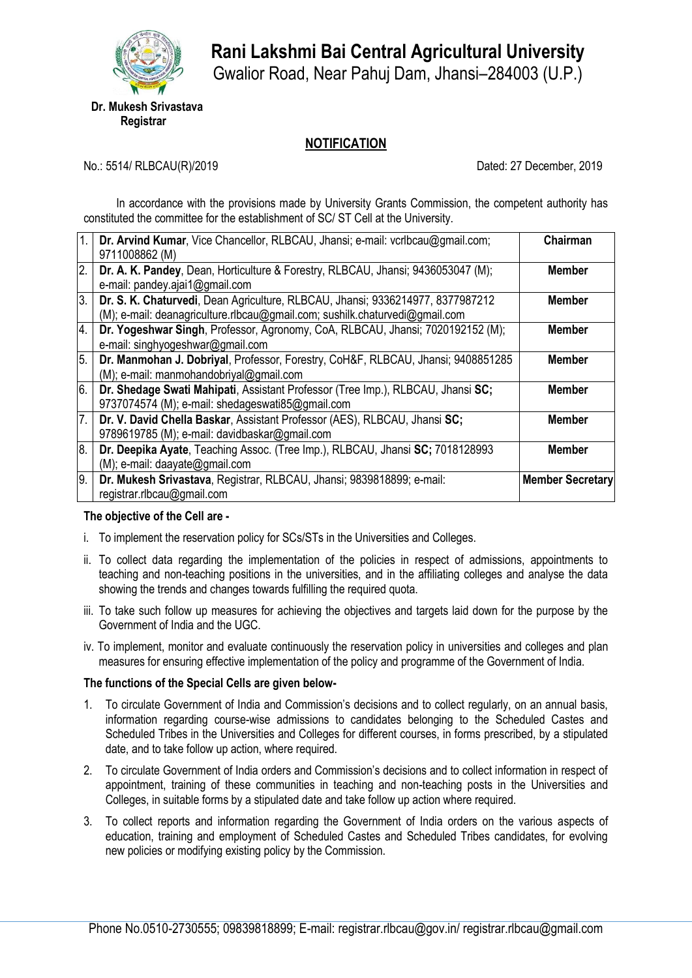

# **Rani Lakshmi Bai Central Agricultural University**

Gwalior Road, Near Pahuj Dam, Jhansi–284003 (U.P.)

## **Dr. Mukesh Srivastava Registrar**

## **NOTIFICATION**

No.: 5514/ RLBCAU(R)/2019 Dated: 27 December, 2019

In accordance with the provisions made by University Grants Commission, the competent authority has constituted the committee for the establishment of SC/ ST Cell at the University.

| $\overline{1}$ . | Dr. Arvind Kumar, Vice Chancellor, RLBCAU, Jhansi; e-mail: vcrlbcau@gmail.com;<br>9711008862 (M)                                                              | Chairman                |
|------------------|---------------------------------------------------------------------------------------------------------------------------------------------------------------|-------------------------|
| $\overline{2}$ . | Dr. A. K. Pandey, Dean, Horticulture & Forestry, RLBCAU, Jhansi; 9436053047 (M);                                                                              | <b>Member</b>           |
|                  | e-mail: pandey.ajai1@gmail.com                                                                                                                                |                         |
| 3.               | Dr. S. K. Chaturvedi, Dean Agriculture, RLBCAU, Jhansi; 9336214977, 8377987212<br>(M); e-mail: deanagriculture.rlbcau@gmail.com; sushilk.chaturvedi@gmail.com | Member                  |
| $\overline{4}$ . | Dr. Yogeshwar Singh, Professor, Agronomy, CoA, RLBCAU, Jhansi; 7020192152 (M);<br>e-mail: singhyogeshwar@gmail.com                                            | <b>Member</b>           |
| 5.               | Dr. Manmohan J. Dobriyal, Professor, Forestry, CoH&F, RLBCAU, Jhansi; 9408851285<br>(M); e-mail: manmohandobriyal@gmail.com                                   | Member                  |
| 6.               | Dr. Shedage Swati Mahipati, Assistant Professor (Tree Imp.), RLBCAU, Jhansi SC;<br>9737074574 (M); e-mail: shedageswati85@gmail.com                           | <b>Member</b>           |
| 7.               | Dr. V. David Chella Baskar, Assistant Professor (AES), RLBCAU, Jhansi SC;<br>9789619785 (M); e-mail: davidbaskar@gmail.com                                    | <b>Member</b>           |
| $\overline{8}$ . | Dr. Deepika Ayate, Teaching Assoc. (Tree Imp.), RLBCAU, Jhansi SC; 7018128993<br>(M); e-mail: daayate@gmail.com                                               | <b>Member</b>           |
| 9.               | Dr. Mukesh Srivastava, Registrar, RLBCAU, Jhansi; 9839818899; e-mail:<br>registrar.rlbcau@gmail.com                                                           | <b>Member Secretary</b> |

### **The objective of the Cell are -**

- i. To implement the reservation policy for SCs/STs in the Universities and Colleges.
- ii. To collect data regarding the implementation of the policies in respect of admissions, appointments to teaching and non-teaching positions in the universities, and in the affiliating colleges and analyse the data showing the trends and changes towards fulfilling the required quota.
- iii. To take such follow up measures for achieving the objectives and targets laid down for the purpose by the Government of India and the UGC.
- iv. To implement, monitor and evaluate continuously the reservation policy in universities and colleges and plan measures for ensuring effective implementation of the policy and programme of the Government of India.

### **The functions of the Special Cells are given below-**

- 1. To circulate Government of India and Commission's decisions and to collect regularly, on an annual basis, information regarding course-wise admissions to candidates belonging to the Scheduled Castes and Scheduled Tribes in the Universities and Colleges for different courses, in forms prescribed, by a stipulated date, and to take follow up action, where required.
- 2. To circulate Government of India orders and Commission's decisions and to collect information in respect of appointment, training of these communities in teaching and non-teaching posts in the Universities and Colleges, in suitable forms by a stipulated date and take follow up action where required.
- 3. To collect reports and information regarding the Government of India orders on the various aspects of education, training and employment of Scheduled Castes and Scheduled Tribes candidates, for evolving new policies or modifying existing policy by the Commission.